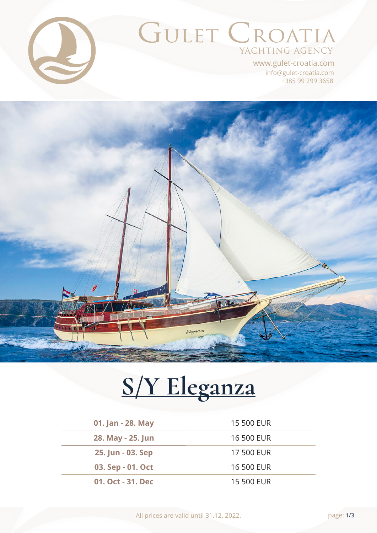

## GULET CROATIA YACHTING AGENCY

+385 99 299 3658 info@gulet-croatia.com www.gulet-croatia.com

# Eleganza

# **[S/Y Eleganza](https://www.gulet-croatia.com/gulets-cruise-croatia/sy-eleganza)**

| 01. Jan - 28. May | 15 500 EUR        |
|-------------------|-------------------|
| 28. May - 25. Jun | 16 500 EUR        |
| 25. Jun - 03. Sep | <b>17 500 EUR</b> |
| 03. Sep - 01. Oct | 16 500 EUR        |
| 01. Oct - 31. Dec | 15 500 EUR        |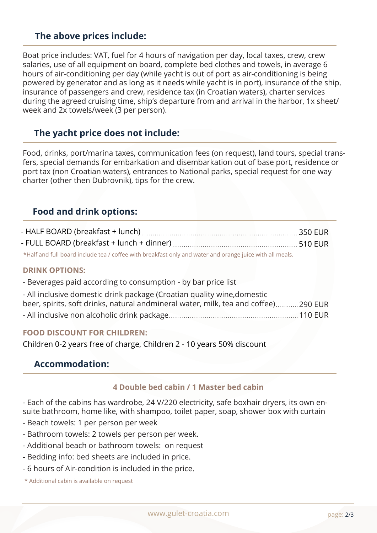### **The above prices include:**

Boat price includes: VAT, fuel for 4 hours of navigation per day, local taxes, crew, crew salaries, use of all equipment on board, complete bed clothes and towels, in average 6 hours of air-conditioning per day (while yacht is out of port as air-conditioning is being powered by generator and as long as it needs while yacht is in port), insurance of the ship, insurance of passengers and crew, residence tax (in Croatian waters), charter services during the agreed cruising time, ship's departure from and arrival in the harbor, 1x sheet/ week and 2x towels/week (3 per person).

### **The yacht price does not include:**

Food, drinks, port/marina taxes, communication fees (on request), land tours, special transfers, special demands for embarkation and disembarkation out of base port, residence or port tax (non Croatian waters), entrances to National parks, special request for one way charter (other then Dubrovnik), tips for the crew.

### **Food and drink options:**

| and full board include too Leeffee with breakfast only and water and erange juice with all moals |  |
|--------------------------------------------------------------------------------------------------|--|

\*Half and full board include tea / coffee with breakfast only and water and orange juice with all meals.

### **DRINK OPTIONS:**

- Beverages paid according to consumption - by bar price list

| - All inclusive domestic drink package (Croatian quality wine, domestic             |  |
|-------------------------------------------------------------------------------------|--|
| beer, spirits, soft drinks, natural andmineral water, milk, tea and coffee) 290 EUR |  |
|                                                                                     |  |

### **FOOD DISCOUNT FOR CHILDREN:**

Children 0-2 years free of charge, Children 2 - 10 years 50% discount

### **Accommodation:**

### **4 Double bed cabin / 1 Master bed cabin**

- Each of the cabins has wardrobe, 24 V/220 electricity, safe boxhair dryers, its own ensuite bathroom, home like, with shampoo, toilet paper, soap, shower box with curtain

- Beach towels: 1 per person per week
- Bathroom towels: 2 towels per person per week.
- Additional beach or bathroom towels: on request
- Bedding info: bed sheets are included in price.
- 6 hours of Air-condition is included in the price.
- \* Additional cabin is available on request